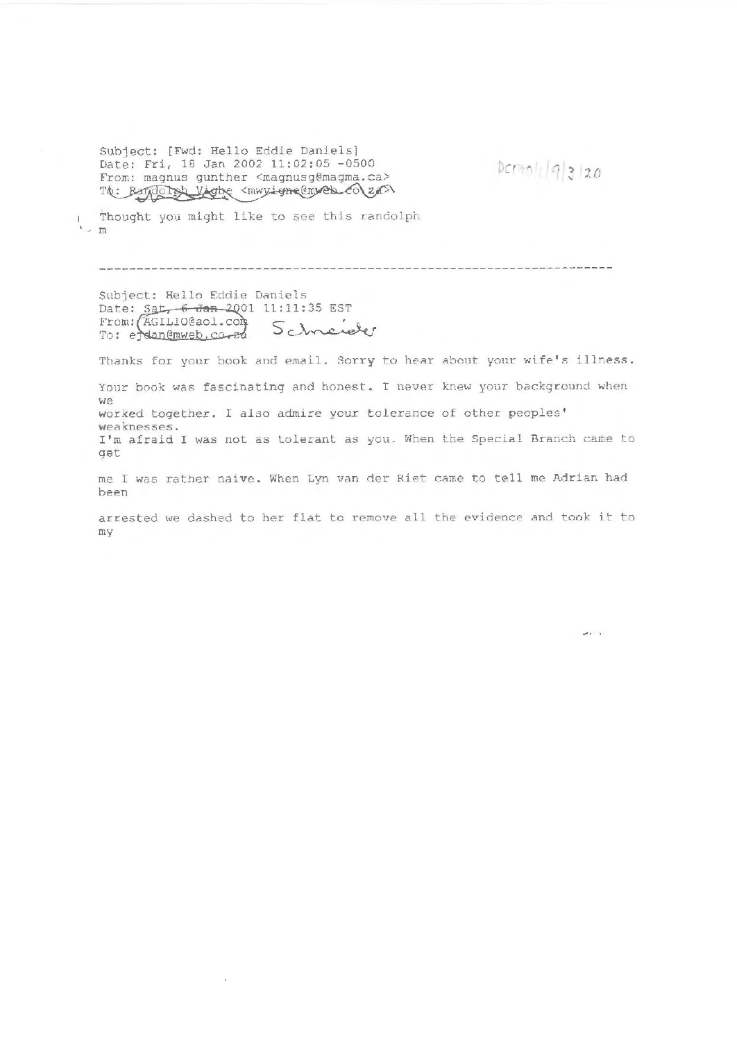Subject: [Fwd: Hello Eddie Daniels] Date: Fri, 18 Jan 2002 11:02:05 -0500 The: Bando Tok Vigto < mwyigne@mweb\_co\za>\ From: magnus gunther <magnusg@magma.ca>

 $Dcmol(19)3120$ 

Thought you might like to see this randolph  $\frac{1}{2}$ 

Subject: Hello Eddie Daniels Date:  $Sat - 6$  Jan-2001 11:11:35 EST<br>From: (AGILIO@aol.com) Schneicher To: edan@mweb.co.za

÷,

Thanks for your book and email. Sorry to hear about your wife's illness.

Your book was fascinating and honest. I never knew your background when  $W =$ worked together . I also admire your tolerance of other peoples ' weaknesses. I'm afraid I was not as tolerant as you. When the Special Branch came to qet

me I was rather naive. When Lyn van der Riet came to tell me Adrian had been

arrested we dashed to her flat to remove all the evidence and took it to my

 $\omega\in\mathcal{A}$  .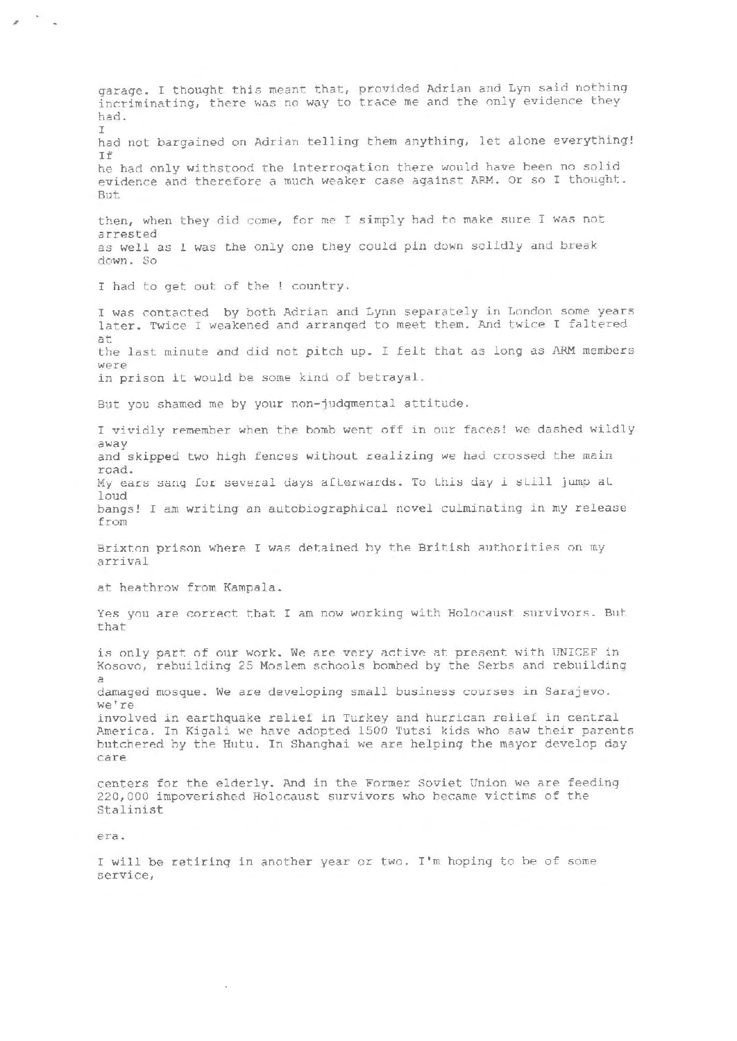garage. I thought this meant that, provided Adrian and Lyn said nothing incriminating, there was no way to trace me and the only evidence they had.  $\mathbb{T}$ had not bargained on Adrian telling them anything, let alone everything! If he had only withstood the interrogation there would have been no solid evidence and therefore a much weaker case against ARM. Or so I thought. But. then, when they did come, for me I simply had to make sure I was not arrested as well as 1 was the only one they could pin down solidly and break down. So I had to get out of the ! country. I was contacted by both Adrian and Lynn separately in London some years later. Twice I weakened and arranged to meet them. And twice I faltered at the last minute and did not pitch up. I felt that as long as ARM members WAYA in prison it would be some kind of betrayal. But you shamed me by your non-judgmental attitude. I vividly remember when the bomb went off in our faces! we dashed wildly away and skipped two high fences without realizing we had crossed the main road. My ears sang for several days afterwards. To this day i still jump at loud bangs! I am writing an autobiographical novel culminating in my release from Brixton prison where I was detained by the British authorities on my arrival at heathrow from Kampala. Yes you are correct that I am now working with Holocaust survivors. But that is only part of our work. We are very active at present with UNICEF in Kosovo, rebuilding 25 Moslem schools bombed by the Serbs and rebuilding damaged mosque. We are developing small business courses in Sarajevo. we're involved in earthquake relief in Turkey and hurrican relief in central America. In Kigali we have adopted 1500 Tutsi kids who saw their parents butchered by the Hutu. In Shanghai we are helping the mayor develop day care centers for the elderly. And in the Former Soviet Union we are feeding 220,000 impoverished Holocaust survivors who became victims of the Stalinist

era.

 $\mathbf{z}$ 

I will be retiring in another year or two. I'm hoping to be of some service,